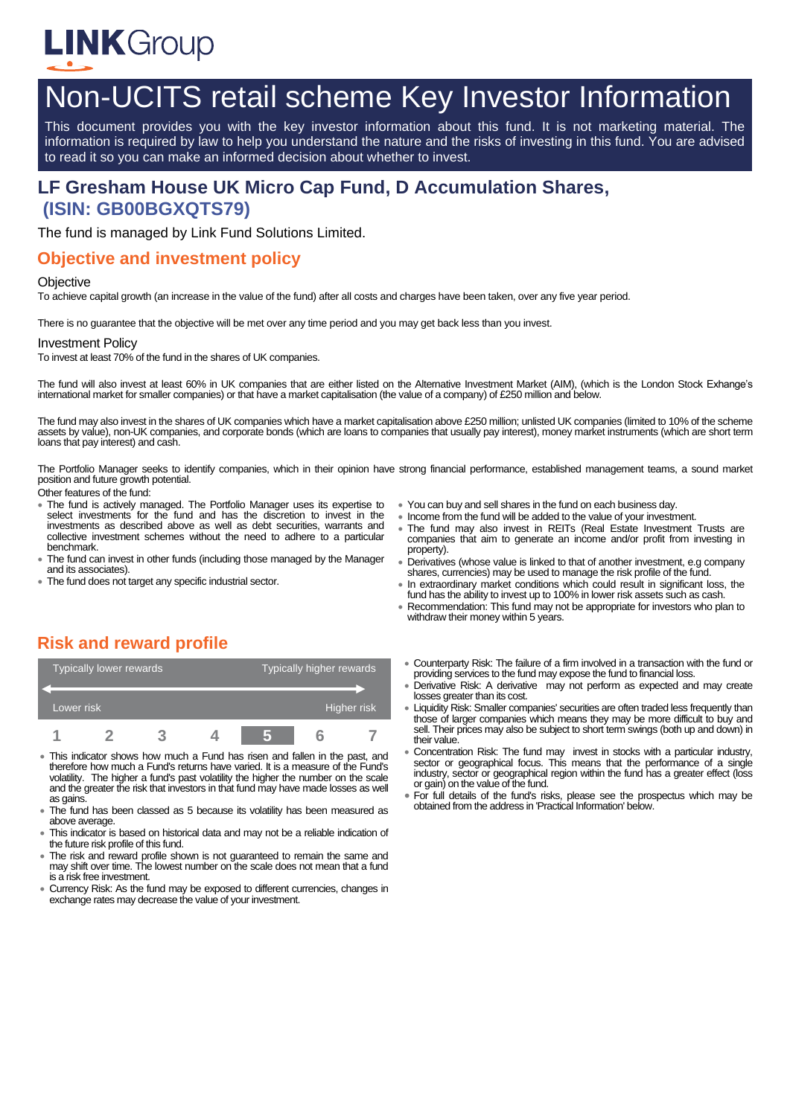

# Non-UCITS retail scheme Key Investor Information

This document provides you with the key investor information about this fund. It is not marketing material. The information is required by law to help you understand the nature and the risks of investing in this fund. You are advised to read it so you can make an informed decision about whether to invest.

# **LF Gresham House UK Micro Cap Fund, D Accumulation Shares, (ISIN: GB00BGXQTS79)**

The fund is managed by Link Fund Solutions Limited.

### **Objective and investment policy**

#### **Objective**

To achieve capital growth (an increase in the value of the fund) after all costs and charges have been taken, over any five year period.

There is no guarantee that the objective will be met over any time period and you may get back less than you invest.

#### Investment Policy

To invest at least 70% of the fund in the shares of UK companies.

The fund will also invest at least 60% in UK companies that are either listed on the Alternative Investment Market (AIM), (which is the London Stock Exhange's international market for smaller companies) or that have a market capitalisation (the value of a company) of £250 million and below.

The fund may also invest in the shares of UK companies which have a market capitalisation above £250 million; unlisted UK companies (limited to 10% of the scheme assets by value), non-UK companies, and corporate bonds (which are loans to companies that usually pay interest), money market instruments (which are short term loans that pay interest) and cash.

The Portfolio Manager seeks to identify companies, which in their opinion have strong financial performance, established management teams, a sound market position and future growth potential.

Other features of the fund:

- The fund is actively managed. The Portfolio Manager uses its expertise to select investments for the fund and has the discretion to invest in the investments as described above as well as debt securities, warrants and collective investment schemes without the need to adhere to a particular benchmark.
- The fund can invest in other funds (including those managed by the Manager and its associates).
- The fund does not target any specific industrial sector.
- You can buy and sell shares in the fund on each business day.
- Income from the fund will be added to the value of your investment.
- The fund may also invest in REITs (Real Estate Investment Trusts are companies that aim to generate an income and/or profit from investing in property).
- Derivatives (whose value is linked to that of another investment, e.g company shares, currencies) may be used to manage the risk profile of the fund.
- In extraordinary market conditions which could result in significant loss, the fund has the ability to invest up to 100% in lower risk assets such as cash.
- Recommendation: This fund may not be appropriate for investors who plan to withdraw their money within 5 years.

# **Risk and reward profile**

| Typically lower rewards |  |  |  | Typically higher rewards |  |  |
|-------------------------|--|--|--|--------------------------|--|--|
|                         |  |  |  |                          |  |  |
| Lower risk              |  |  |  | Higher risk              |  |  |
|                         |  |  |  |                          |  |  |

- This indicator shows how much a Fund has risen and fallen in the past, and therefore how much a Fund's returns have varied. It is a measure of the Fund's volatility. The higher a fund's past volatility the higher the number on the scale and the greater the risk that investors in that fund may have made losses as well as gains.
- The fund has been classed as 5 because its volatility has been measured as above average.
- This indicator is based on historical data and may not be a reliable indication of the future risk profile of this fund.
- The risk and reward profile shown is not guaranteed to remain the same and may shift over time. The lowest number on the scale does not mean that a fund is a risk free investment.
- Currency Risk: As the fund may be exposed to different currencies, changes in exchange rates may decrease the value of your investment.
- Counterparty Risk: The failure of a firm involved in a transaction with the fund or providing services to the fund may expose the fund to financial loss.
- Derivative Risk: A derivative may not perform as expected and may create losses greater than its cost.
- Liquidity Risk: Smaller companies' securities are often traded less frequently than those of larger companies which means they may be more difficult to buy and sell. Their prices may also be subject to short term swings (both up and down) in their value.
- Concentration Risk: The fund may invest in stocks with a particular industry, sector or geographical focus. This means that the performance of a single industry, sector or geographical region within the fund has a greater effect (loss or gain) on the value of the fund.
- For full details of the fund's risks, please see the prospectus which may be obtained from the address in 'Practical Information' below.